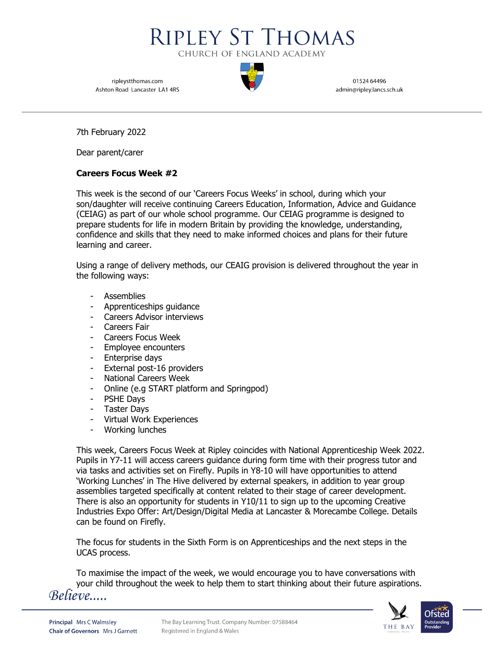

ripleystthomas.com Ashton Road Lancaster LA1 4RS

01524 64496 admin@ripley.lancs.sch.uk

7th February 2022

Dear parent/carer

## **Careers Focus Week #2**

This week is the second of our 'Careers Focus Weeks' in school, during which your son/daughter will receive continuing Careers Education, Information, Advice and Guidance (CEIAG) as part of our whole school programme. Our CEIAG programme is designed to prepare students for life in modern Britain by providing the knowledge, understanding, confidence and skills that they need to make informed choices and plans for their future learning and career.

Using a range of delivery methods, our CEAIG provision is delivered throughout the year in the following ways:

- Assemblies
- Apprenticeships guidance
- Careers Advisor interviews
- Careers Fair
- Careers Focus Week
- Employee encounters
- Enterprise days
- External post-16 providers
- National Careers Week
- Online (e.g START platform and Springpod)
- PSHE Days
- Taster Days
- Virtual Work Experiences
- Working lunches

This week, Careers Focus Week at Ripley coincides with National Apprenticeship Week 2022. Pupils in Y7-11 will access careers guidance during form time with their progress tutor and via tasks and activities set on Firefly. Pupils in Y8-10 will have opportunities to attend 'Working Lunches' in The Hive delivered by external speakers, in addition to year group assemblies targeted specifically at content related to their stage of career development. There is also an opportunity for students in Y10/11 to sign up to the upcoming Creative Industries Expo Offer: Art/Design/Digital Media at Lancaster & Morecambe College. Details can be found on Firefly.

The focus for students in the Sixth Form is on Apprenticeships and the next steps in the UCAS process.

To maximise the impact of the week, we would encourage you to have conversations with your child throughout the week to help them to start thinking about their future aspirations.<br>
Believe.....